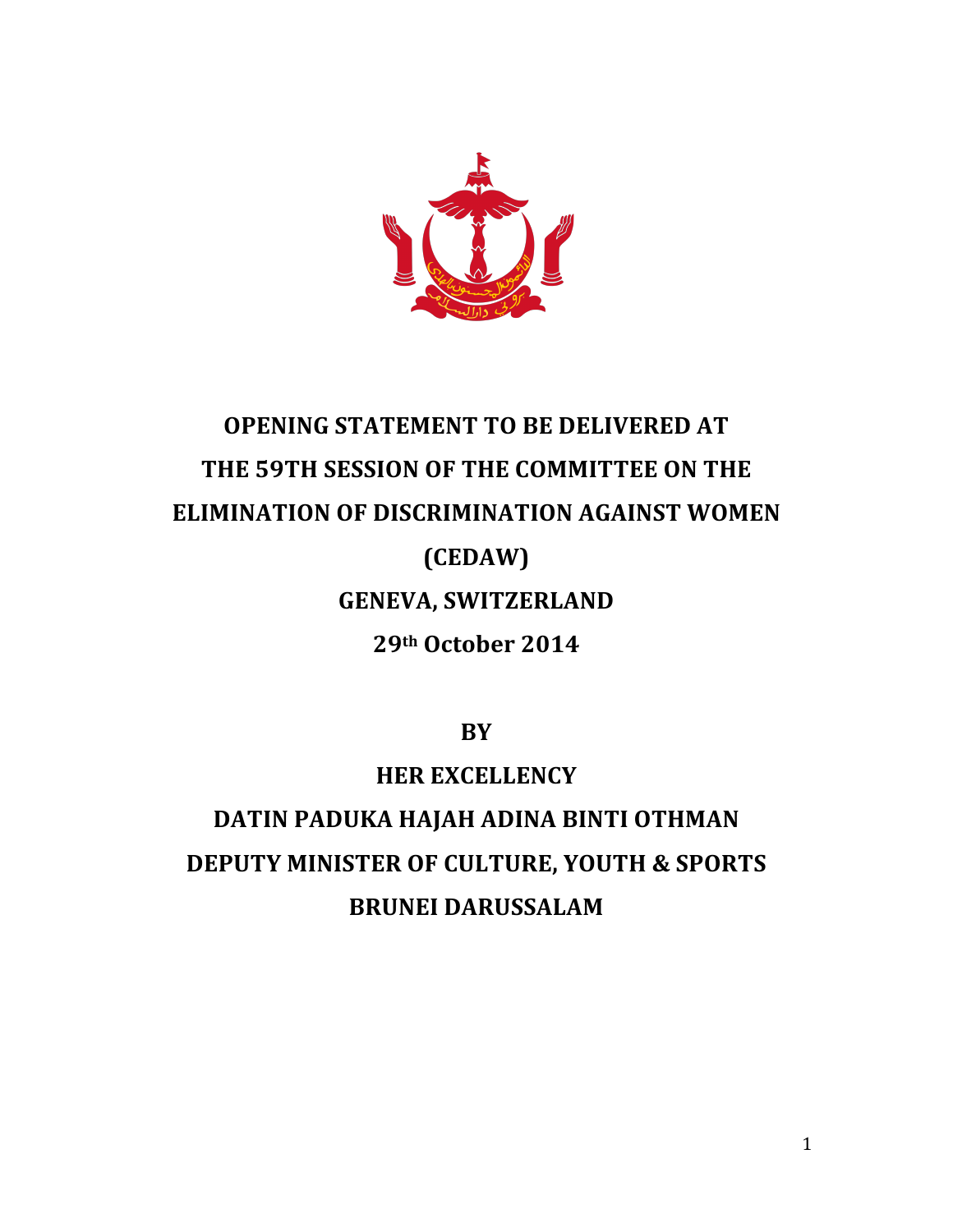

# **OPENING STATEMENT TO BE DELIVERED AT** THE 59TH SESSION OF THE COMMITTEE ON THE **ELIMINATION OF DISCRIMINATION AGAINST WOMEN (CEDAW) GENEVA, SWITZERLAND 29th!October!2014!**

**BY!**

**HER!EXCELLENCY DATIN PADUKA HAJAH ADINA BINTI OTHMAN DEPUTY MINISTER OF CULTURE, YOUTH & SPORTS BRUNEI!DARUSSALAM**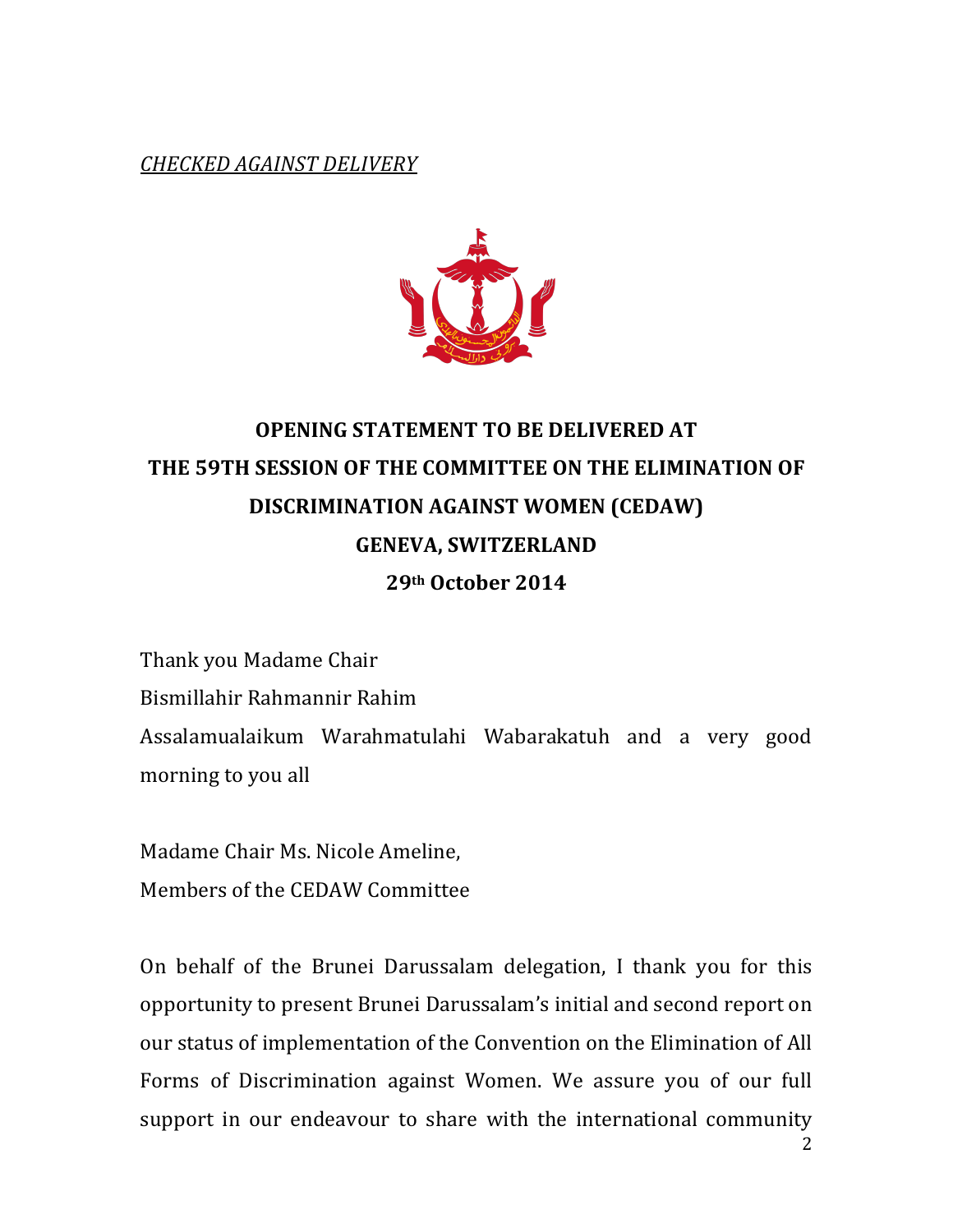*CHECKED&AGAINST&DELIVERY*



## **OPENING STATEMENT TO BE DELIVERED AT** THE 59TH SESSION OF THE COMMITTEE ON THE ELIMINATION OF **DISCRIMINATION!AGAINST!WOMEN!(CEDAW) GENEVA, SWITZERLAND 29th!October!2014!**

Thank you Madame Chair Bismillahir Rahmannir Rahim Assalamualaikum Warahmatulahi Wabarakatuh and a very good morning to you all

Madame Chair Ms. Nicole Ameline, Members of the CEDAW Committee

2 On behalf of the Brunei Darussalam delegation, I thank you for this opportunity to present Brunei Darussalam's initial and second report on our status of implementation of the Convention on the Elimination of All Forms of Discrimination against Women. We assure you of our full support in our endeavour to share with the international community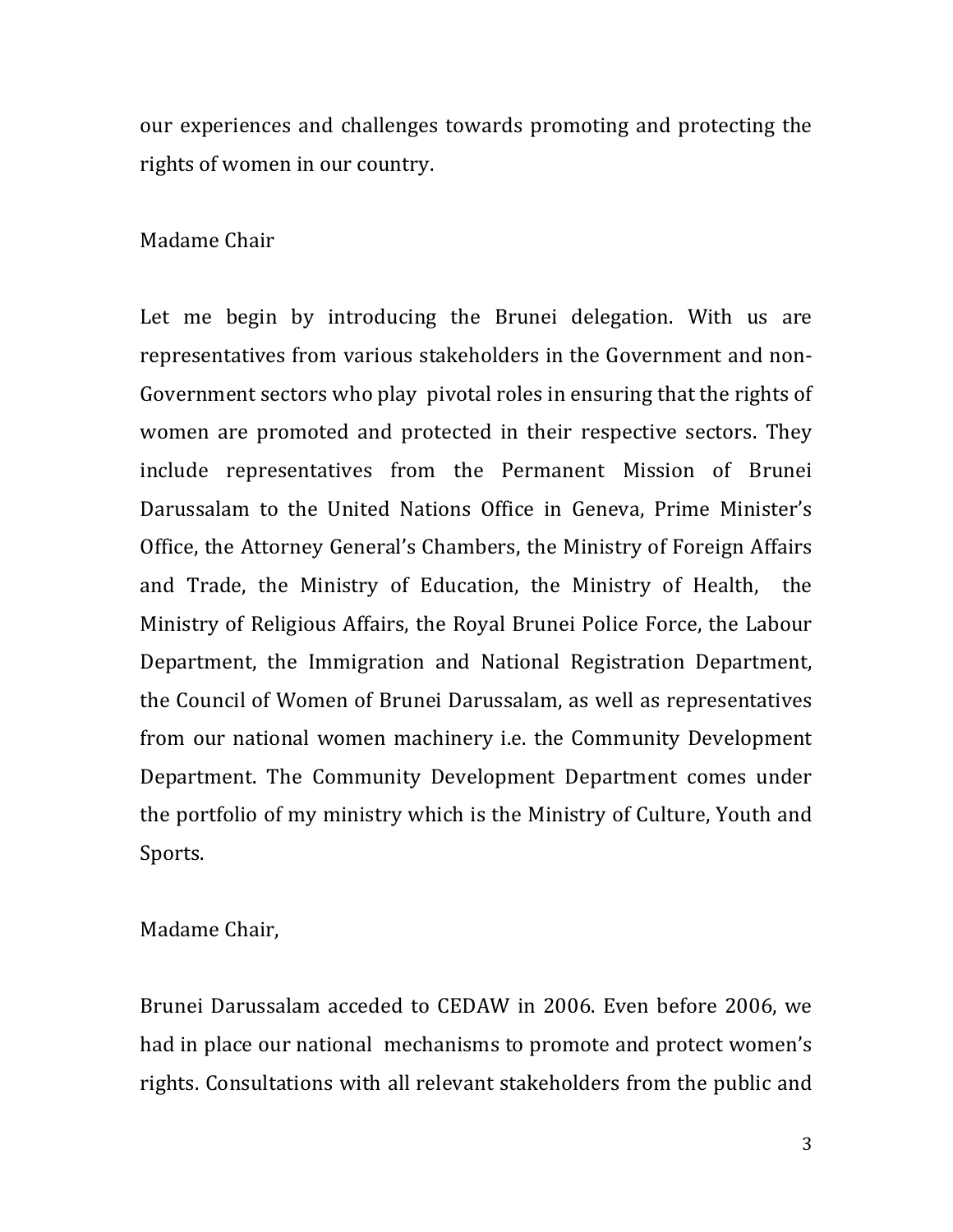our experiences and challenges towards promoting and protecting the rights of women in our country.

#### Madame Chair

Let me begin by introducing the Brunei delegation. With us are representatives from various stakeholders in the Government and non-Government sectors who play pivotal roles in ensuring that the rights of women are promoted and protected in their respective sectors. They include representatives from the Permanent Mission of Brunei Darussalam to the United Nations Office in Geneva, Prime Minister's Office, the Attorney General's Chambers, the Ministry of Foreign Affairs" and Trade, the Ministry of Education, the Ministry of Health, the Ministry of Religious Affairs, the Royal Brunei Police Force, the Labour Department, the Immigration and National Registration Department, the Council of Women of Brunei Darussalam, as well as representatives from our national women machinery i.e. the Community Development Department. The Community Development Department comes under the portfolio of my ministry which is the Ministry of Culture, Youth and Sports.

Madame Chair,

Brunei Darussalam acceded to CEDAW in 2006. Even before 2006, we had in place our national mechanisms to promote and protect women's rights. Consultations with all relevant stakeholders from the public and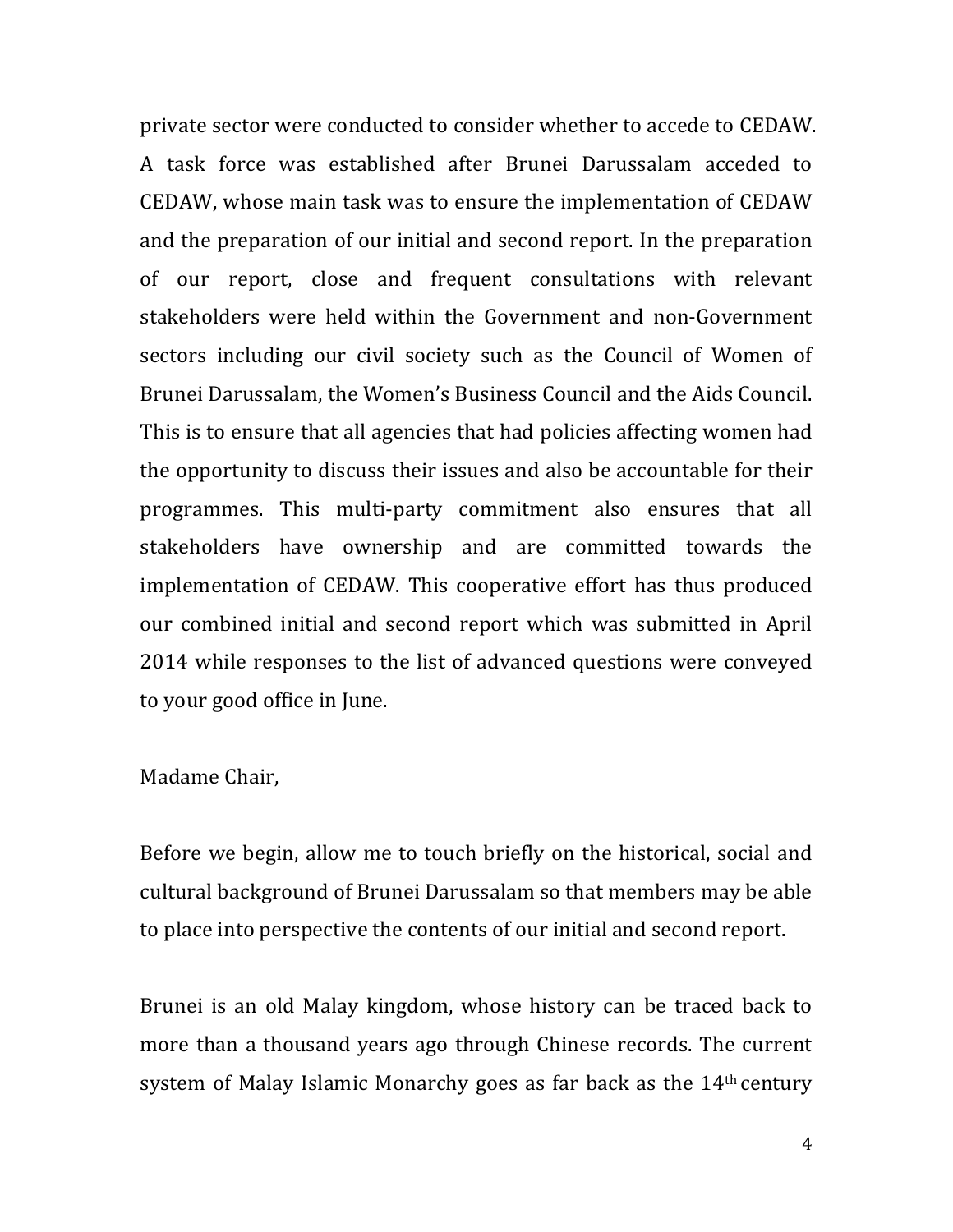private sector were conducted to consider whether to accede to CEDAW. A task force was established after Brunei Darussalam acceded to CEDAW, whose main task was to ensure the implementation of CEDAW and the preparation of our initial and second report. In the preparation of our report, close and frequent consultations with relevant stakeholders were held within the Government and non-Government sectors including our civil society such as the Council of Women of Brunei Darussalam, the Women's Business Council and the Aids Council. This is to ensure that all agencies that had policies affecting women had the opportunity to discuss their issues and also be accountable for their programmes. This multi-party commitment also ensures that all stakeholders have ownership and are committed towards the implementation of CEDAW. This cooperative effort has thus produced our combined initial and second report which was submitted in April" 2014 while responses to the list of advanced questions were conveyed to your good office in June.

Madame Chair,

Before we begin, allow me to touch briefly on the historical, social and cultural background of Brunei Darussalam so that members may be able to place into perspective the contents of our initial and second report.

Brunei is an old Malay kingdom, whose history can be traced back to more than a thousand years ago through Chinese records. The current system of Malay Islamic Monarchy goes as far back as the 14<sup>th</sup> century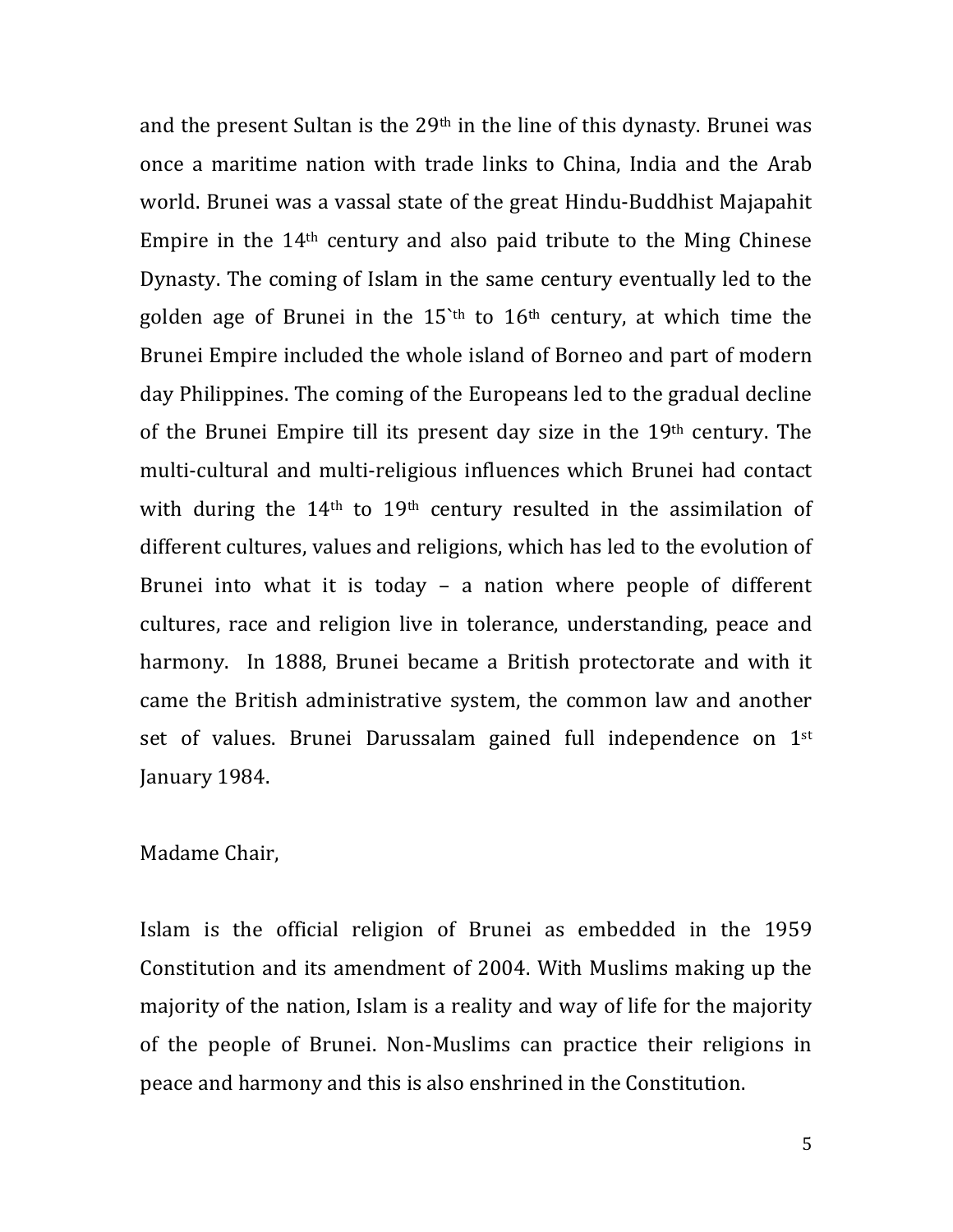and the present Sultan is the  $29<sup>th</sup>$  in the line of this dynasty. Brunei was once a maritime nation with trade links to China, India and the Arab world. Brunei was a vassal state of the great Hindu-Buddhist Majapahit Empire in the  $14<sup>th</sup>$  century and also paid tribute to the Ming Chinese Dynasty. The coming of Islam in the same century eventually led to the golden age of Brunei in the  $15$ '<sup>th</sup> to  $16$ <sup>th</sup> century, at which time the Brunei Empire included the whole island of Borneo and part of modern day Philippines. The coming of the Europeans led to the gradual decline of the Brunei Empire till its present day size in the  $19<sup>th</sup>$  century. The multi-cultural and multi-religious influences which Brunei had contact with during the  $14<sup>th</sup>$  to  $19<sup>th</sup>$  century resulted in the assimilation of different cultures, values and religions, which has led to the evolution of Brunei into what it is today – a nation where people of different cultures, race and religion live in tolerance, understanding, peace and harmony. In 1888, Brunei became a British protectorate and with it came the British administrative system, the common law and another set of values. Brunei Darussalam gained full independence on 1st January 1984.

#### Madame Chair,

Islam is the official religion of Brunei as embedded in the 1959 Constitution and its amendment of 2004. With Muslims making up the majority of the nation, Islam is a reality and way of life for the majority of the people of Brunei. Non-Muslims can practice their religions in peace and harmony and this is also enshrined in the Constitution.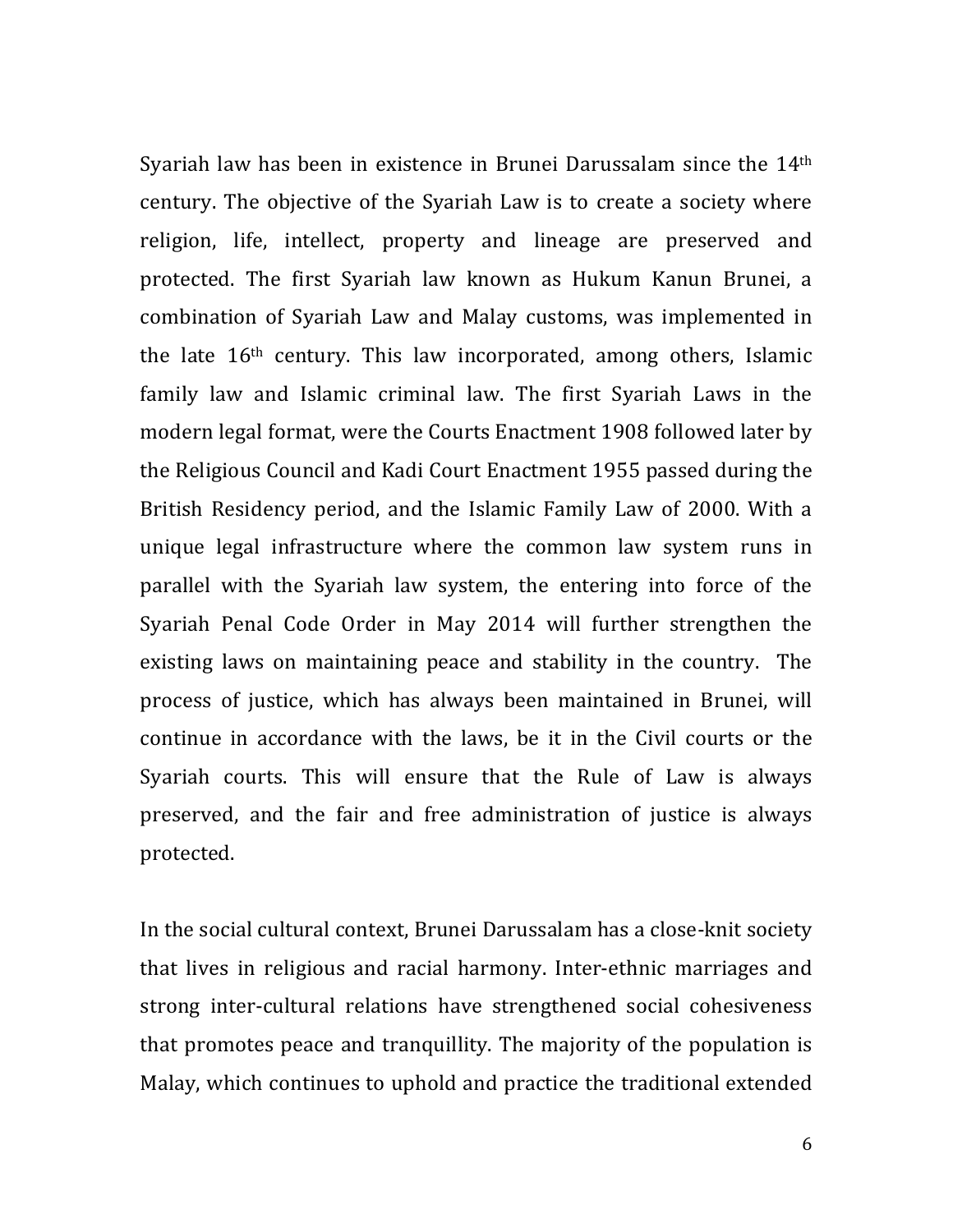Syariah law has been in existence in Brunei Darussalam since the 14<sup>th</sup> century. The objective of the Syariah Law is to create a society where religion, life, intellect, property and lineage are preserved and protected. The first Syariah law known as Hukum Kanun Brunei, a combination of Syariah Law and Malay customs, was implemented in the late 16<sup>th</sup> century. This law incorporated, among others, Islamic family law and Islamic criminal law. The first Syariah Laws in the modern legal format, were the Courts Enactment 1908 followed later by the Religious Council and Kadi Court Enactment 1955 passed during the British Residency period, and the Islamic Family Law of 2000. With a unique legal infrastructure where the common law system runs in parallel with the Syariah law system, the entering into force of the Syariah Penal Code Order in May 2014 will further strengthen the existing laws on maintaining peace and stability in the country. The process of justice, which has always been maintained in Brunei, will continue in accordance with the laws, be it in the Civil courts or the Syariah courts. This will ensure that the Rule of Law is always preserved, and the fair and free administration of justice is always protected.

In the social cultural context, Brunei Darussalam has a close-knit society that lives in religious and racial harmony. Inter-ethnic marriages and strong inter-cultural relations have strengthened social cohesiveness that promotes peace and tranquillity. The majority of the population is Malay, which continues to uphold and practice the traditional extended

6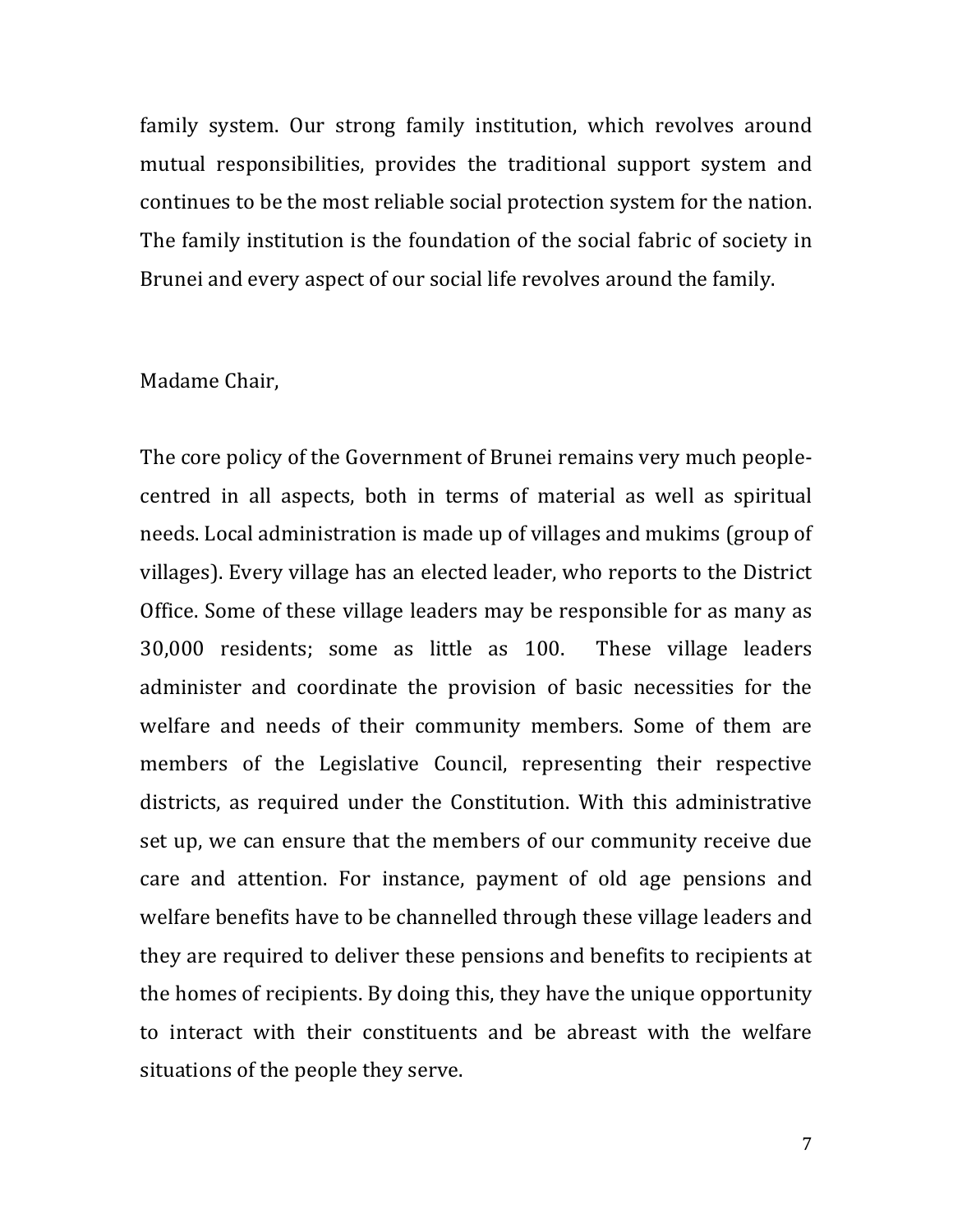family system. Our strong family institution, which revolves around mutual responsibilities, provides the traditional support system and continues to be the most reliable social protection system for the nation. The family institution is the foundation of the social fabric of society in Brunei and every aspect of our social life revolves around the family.

#### Madame Chair,

The core policy of the Government of Brunei remains very much peoplecentred in all aspects, both in terms of material as well as spiritual needs. Local administration is made up of villages and mukims (group of villages). Every village has an elected leader, who reports to the District Office. Some of these village leaders may be responsible for as many as 30,000 residents; some as little as 100. These village leaders administer and coordinate the provision of basic necessities for the welfare and needs of their community members. Some of them are members of the Legislative Council, representing their respective districts, as required under the Constitution. With this administrative set up, we can ensure that the members of our community receive due care and attention. For instance, payment of old age pensions and welfare benefits have to be channelled through these village leaders and they are required to deliver these pensions and benefits to recipients at the homes of recipients. By doing this, they have the unique opportunity to interact with their constituents and be abreast with the welfare situations of the people they serve.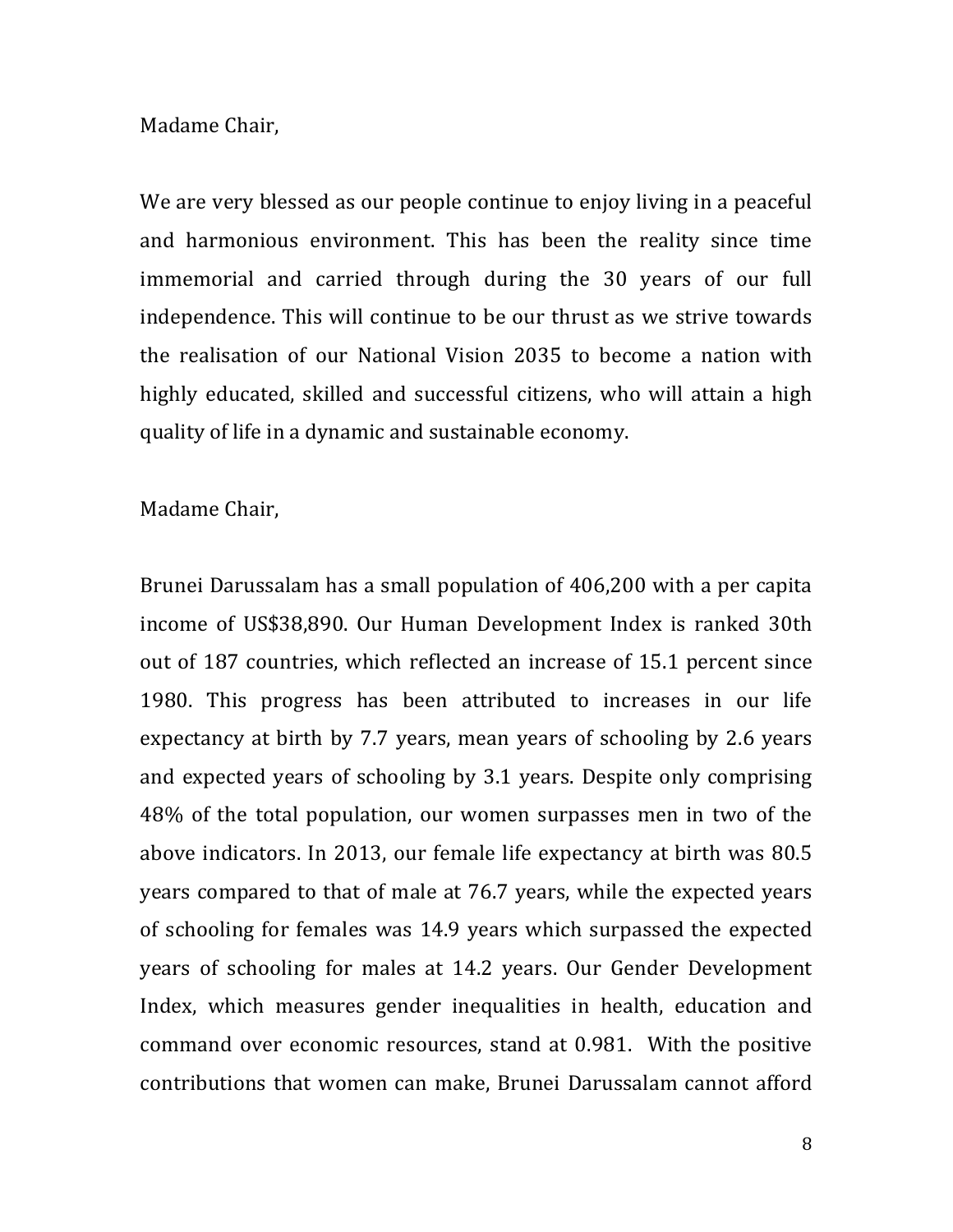#### Madame Chair,

We are very blessed as our people continue to enjoy living in a peaceful and harmonious environment. This has been the reality since time immemorial and carried through during the 30 years of our full independence. This will continue to be our thrust as we strive towards the realisation of our National Vision 2035 to become a nation with highly educated, skilled and successful citizens, who will attain a high quality of life in a dynamic and sustainable economy.

#### Madame Chair,

Brunei Darussalam has a small population of 406,200 with a per capita income of US\$38,890. Our Human Development Index is ranked 30th out of 187 countries, which reflected an increase of 15.1 percent since 1980. This progress has been attributed to increases in our life expectancy at birth by 7.7 years, mean years of schooling by 2.6 years and expected years of schooling by 3.1 years. Despite only comprising 48% of the total population, our women surpasses men in two of the above indicators. In 2013, our female life expectancy at birth was 80.5 years compared to that of male at 76.7 years, while the expected years of schooling for females was 14.9 years which surpassed the expected years of schooling for males at 14.2 years. Our Gender Development Index, which measures gender inequalities in health, education and command over economic resources, stand at 0.981. With the positive contributions that women can make, Brunei Darussalam cannot afford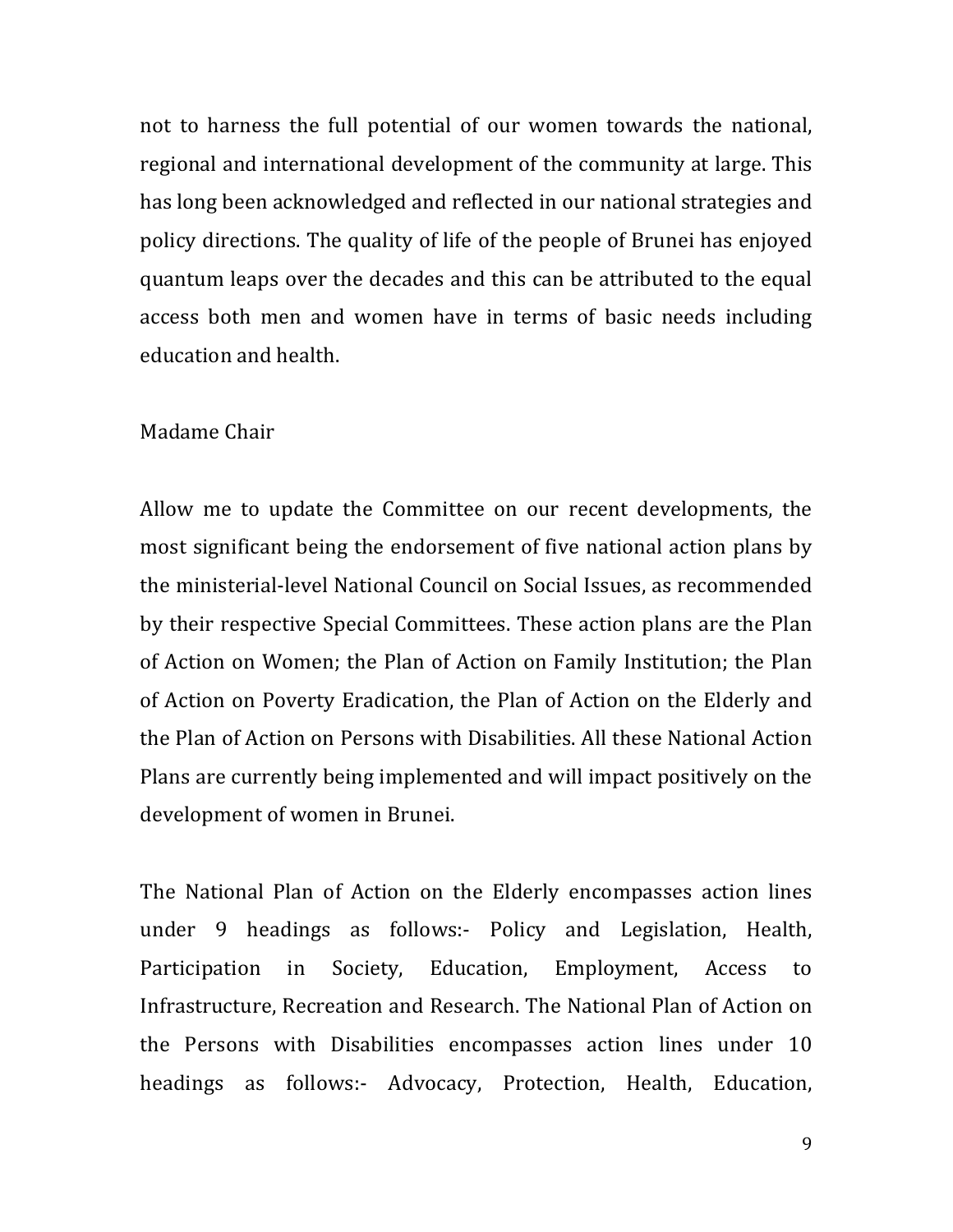not to harness the full potential of our women towards the national, regional and international development of the community at large. This has long been acknowledged and reflected in our national strategies and policy directions. The quality of life of the people of Brunei has enjoyed quantum leaps over the decades and this can be attributed to the equal access both men and women have in terms of basic needs including education and health.

#### Madame Chair

Allow me to update the Committee on our recent developments, the most significant being the endorsement of five national action plans by the ministerial-level National Council on Social Issues, as recommended by their respective Special Committees. These action plans are the Plan of Action on Women; the Plan of Action on Family Institution; the Plan of Action on Poverty Eradication, the Plan of Action on the Elderly and the Plan of Action on Persons with Disabilities. All these National Action Plans are currently being implemented and will impact positively on the development of women in Brunei.

The National Plan of Action on the Elderly encompasses action lines under 9 headings as follows:- Policy and Legislation, Health, Participation in Society, Education, Employment, Access to Infrastructure, Recreation and Research. The National Plan of Action on the Persons with Disabilities encompasses action lines under 10 headings as follows:- Advocacy, Protection, Health, Education,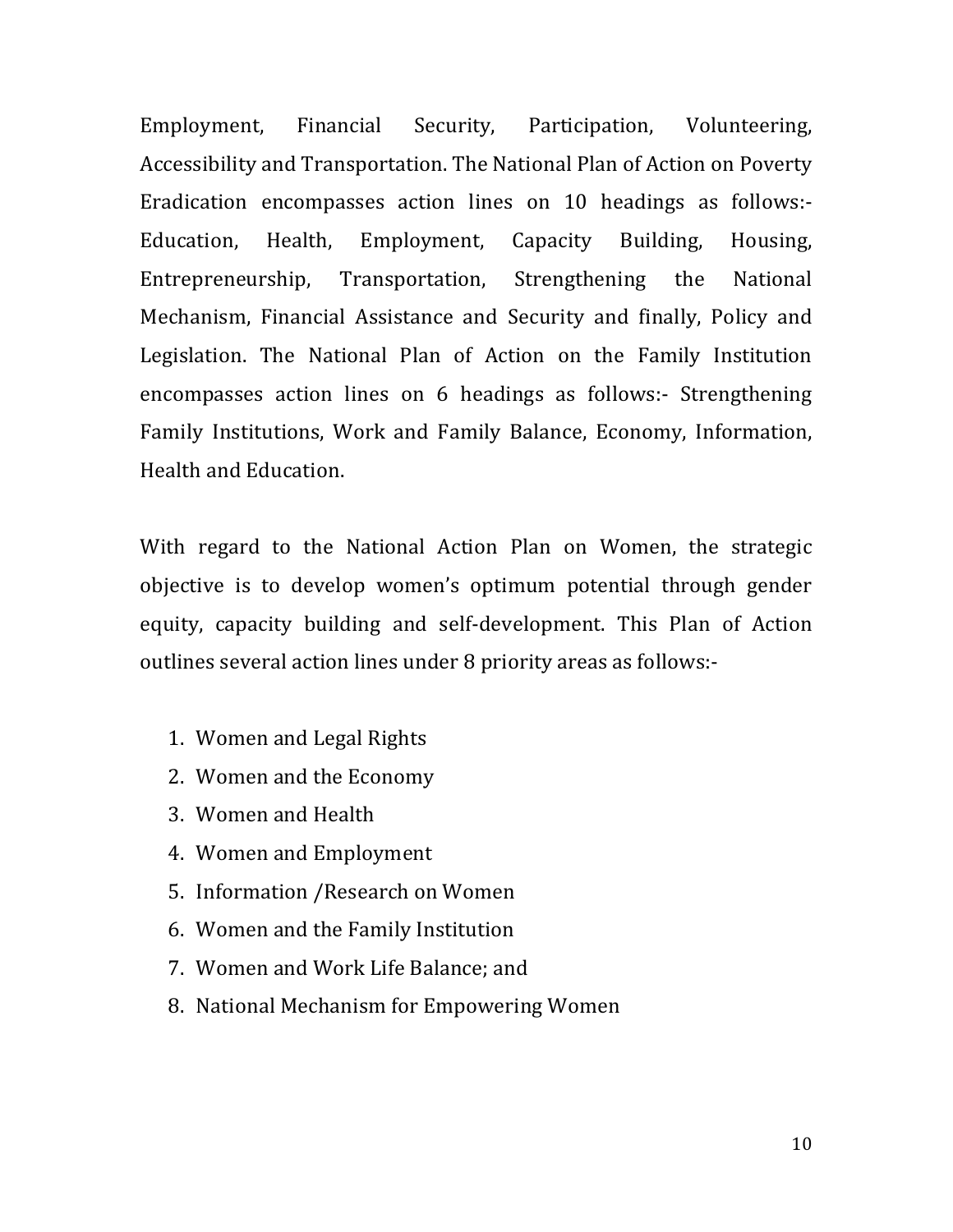Employment, Financial Security, Participation, Volunteering, Accessibility and Transportation. The National Plan of Action on Poverty Eradication encompasses action lines on 10 headings as follows:-Education, Health, Employment, Capacity Building, Housing, Entrepreneurship, Transportation, Strengthening the National Mechanism, Financial Assistance and Security and finally, Policy and Legislation. The National Plan of Action on the Family Institution encompasses action lines on 6 headings as follows:- Strengthening Family Institutions, Work and Family Balance, Economy, Information, Health and Education.

With regard to the National Action Plan on Women, the strategic objective is to develop women's optimum potential through gender equity, capacity building and self-development. This Plan of Action outlines several action lines under 8 priority areas as follows:-

- 1. Women and Legal Rights
- 2. Women and the Economy
- 3. Women and Health
- 4. Women and Employment
- 5. Information / Research on Women
- 6. Women and the Family Institution
- 7. Women and Work Life Balance: and
- 8. National Mechanism for Empowering Women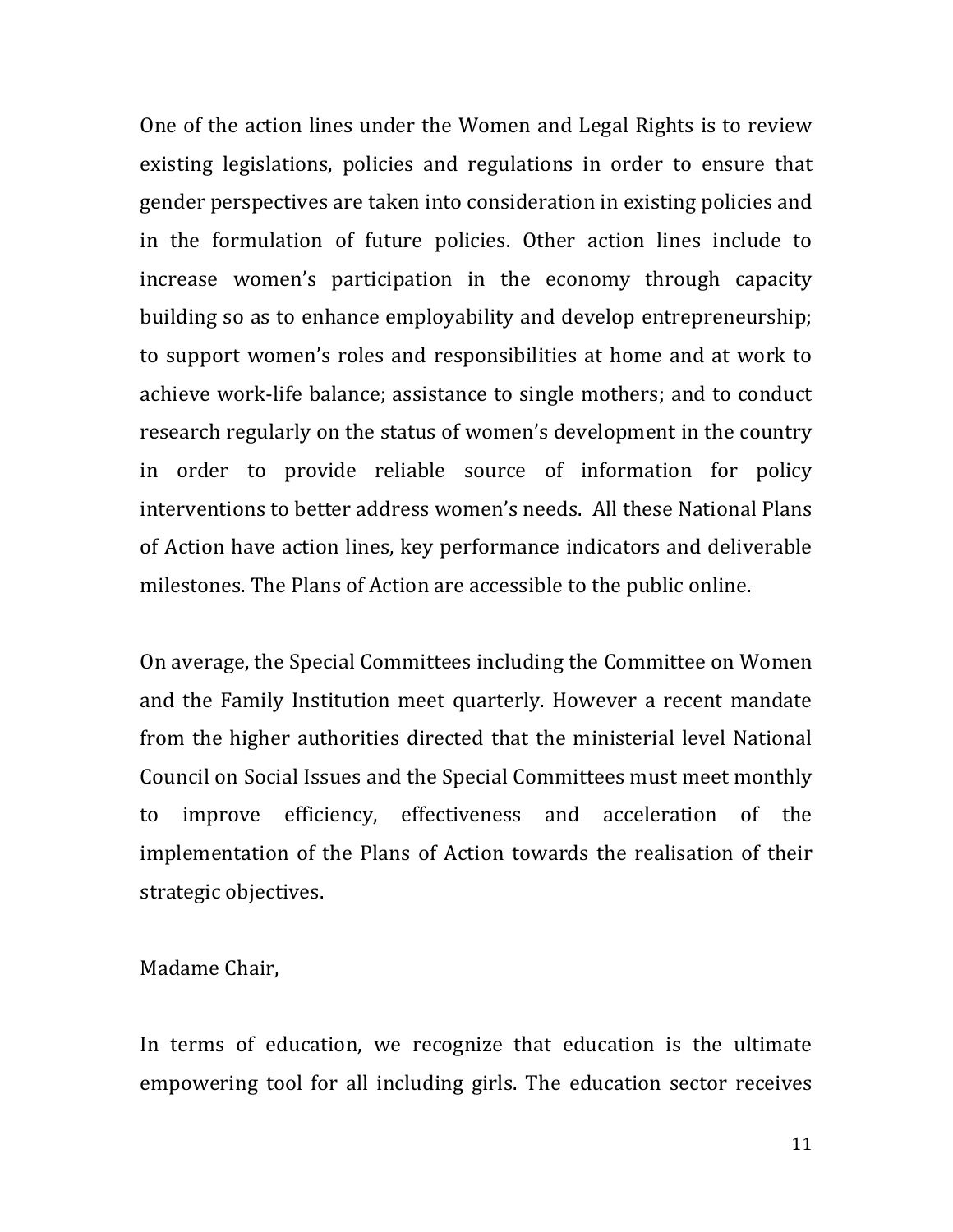One of the action lines under the Women and Legal Rights is to review existing legislations, policies and regulations in order to ensure that gender perspectives are taken into consideration in existing policies and in the formulation of future policies. Other action lines include to increase women's participation in the economy through capacity building so as to enhance employability and develop entrepreneurship; to support women's roles and responsibilities at home and at work to achieve work-life balance; assistance to single mothers; and to conduct research regularly on the status of women's development in the country in order to provide reliable source of information for policy interventions to better address women's needs. All these National Plans of Action have action lines, key performance indicators and deliverable milestones. The Plans of Action are accessible to the public online.

On average, the Special Committees including the Committee on Women" and the Family Institution meet quarterly. However a recent mandate from the higher authorities directed that the ministerial level National Council on Social Issues and the Special Committees must meet monthly to improve efficiency, effectiveness and acceleration of the implementation of the Plans of Action towards the realisation of their strategic objectives.

Madame Chair,

In terms of education, we recognize that education is the ultimate empowering tool for all including girls. The education sector receives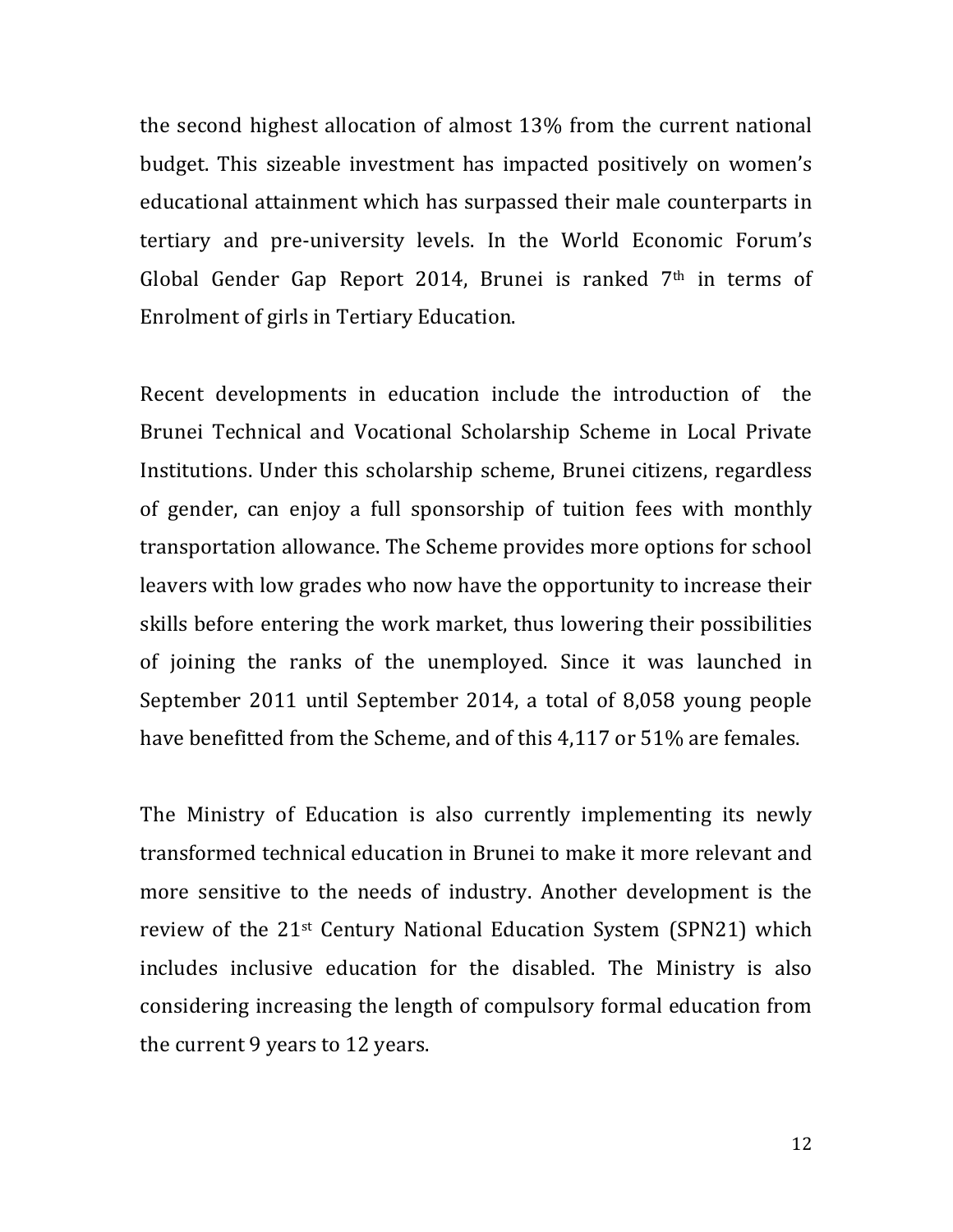the second highest allocation of almost  $13\%$  from the current national budget. This sizeable investment has impacted positively on women's educational attainment which has surpassed their male counterparts in tertiary and pre-university levels. In the World Economic Forum's Global Gender Gap Report 2014, Brunei is ranked  $7<sup>th</sup>$  in terms of Enrolment of girls in Tertiary Education.

Recent developments in education include the introduction of the Brunei Technical and Vocational Scholarship Scheme in Local Private Institutions. Under this scholarship scheme, Brunei citizens, regardless of gender, can enjoy a full sponsorship of tuition fees with monthly transportation allowance. The Scheme provides more options for school leavers with low grades who now have the opportunity to increase their skills before entering the work market, thus lowering their possibilities of joining the ranks of the unemployed. Since it was launched in September 2011 until September 2014, a total of 8,058 young people have benefitted from the Scheme, and of this 4,117 or 51% are females.

The Ministry of Education is also currently implementing its newly transformed technical education in Brunei to make it more relevant and more sensitive to the needs of industry. Another development is the review of the 21st Century National Education System (SPN21) which includes inclusive education for the disabled. The Ministry is also considering increasing the length of compulsory formal education from the current 9 years to 12 years.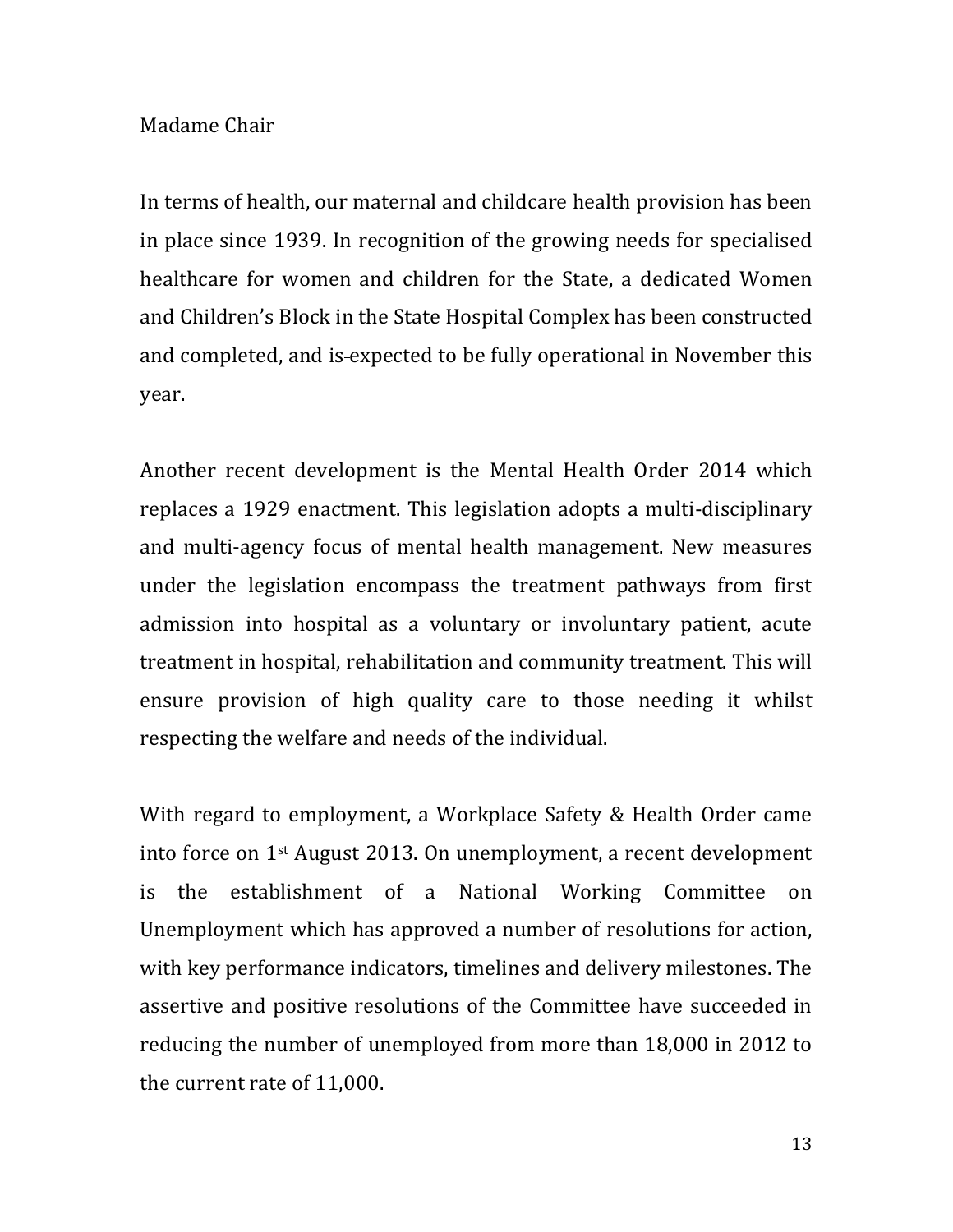### Madame Chair

In terms of health, our maternal and childcare health provision has been in place since 1939. In recognition of the growing needs for specialised healthcare for women and children for the State, a dedicated Women and Children's Block in the State Hospital Complex has been constructed and completed, and is-expected to be fully operational in November this year.

Another recent development is the Mental Health Order 2014 which replaces a 1929 enactment. This legislation adopts a multi-disciplinary and multi-agency focus of mental health management. New measures under the legislation encompass the treatment pathways from first admission into hospital as a voluntary or involuntary patient, acute treatment in hospital, rehabilitation and community treatment. This will ensure provision of high quality care to those needing it whilst respecting the welfare and needs of the individual.

With regard to employment, a Workplace Safety & Health Order came into force on  $1<sup>st</sup>$  August 2013. On unemployment, a recent development is the establishment of a National Working Committee on Unemployment which has approved a number of resolutions for action, with key performance indicators, timelines and delivery milestones. The assertive and positive resolutions of the Committee have succeeded in reducing the number of unemployed from more than 18,000 in 2012 to the current rate of 11,000.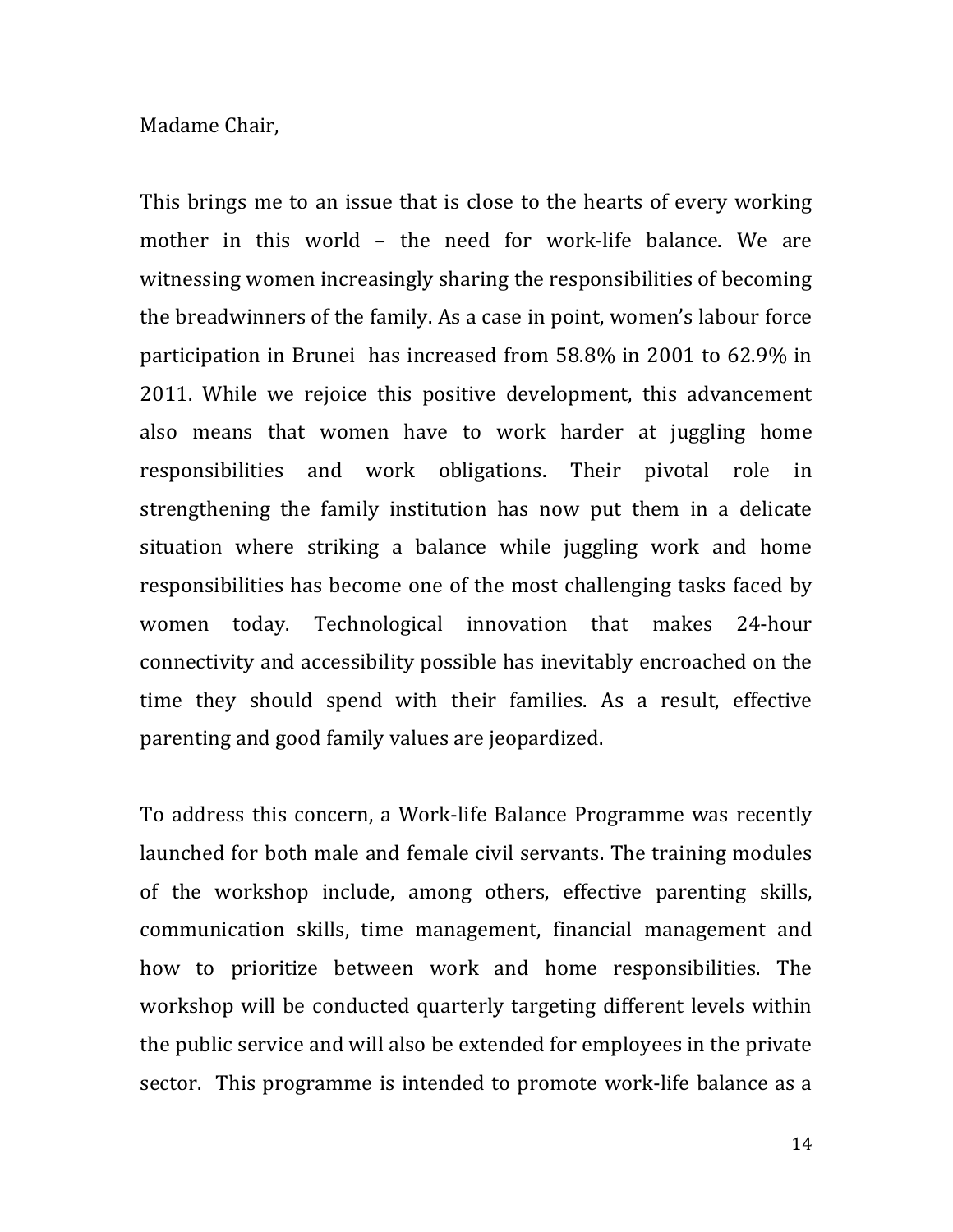#### Madame Chair,

This brings me to an issue that is close to the hearts of every working mother in this world – the need for work-life balance. We are witnessing women increasingly sharing the responsibilities of becoming the breadwinners of the family. As a case in point, women's labour force participation in Brunei has increased from 58.8% in 2001 to 62.9% in 2011. While we rejoice this positive development, this advancement also means that women have to work harder at juggling home responsibilities and work obligations. Their pivotal role in strengthening the family institution has now put them in a delicate situation where striking a balance while juggling work and home responsibilities has become one of the most challenging tasks faced by women today. Technological innovation that makes 24-hour connectivity and accessibility possible has inevitably encroached on the time they should spend with their families. As a result, effective parenting and good family values are jeopardized.

To address this concern, a Work-life Balance Programme was recently launched for both male and female civil servants. The training modules of the workshop include, among others, effective parenting skills, communication skills, time management, financial management and how to prioritize between work and home responsibilities. The workshop will be conducted quarterly targeting different levels within the public service and will also be extended for employees in the private sector. This programme is intended to promote work-life balance as a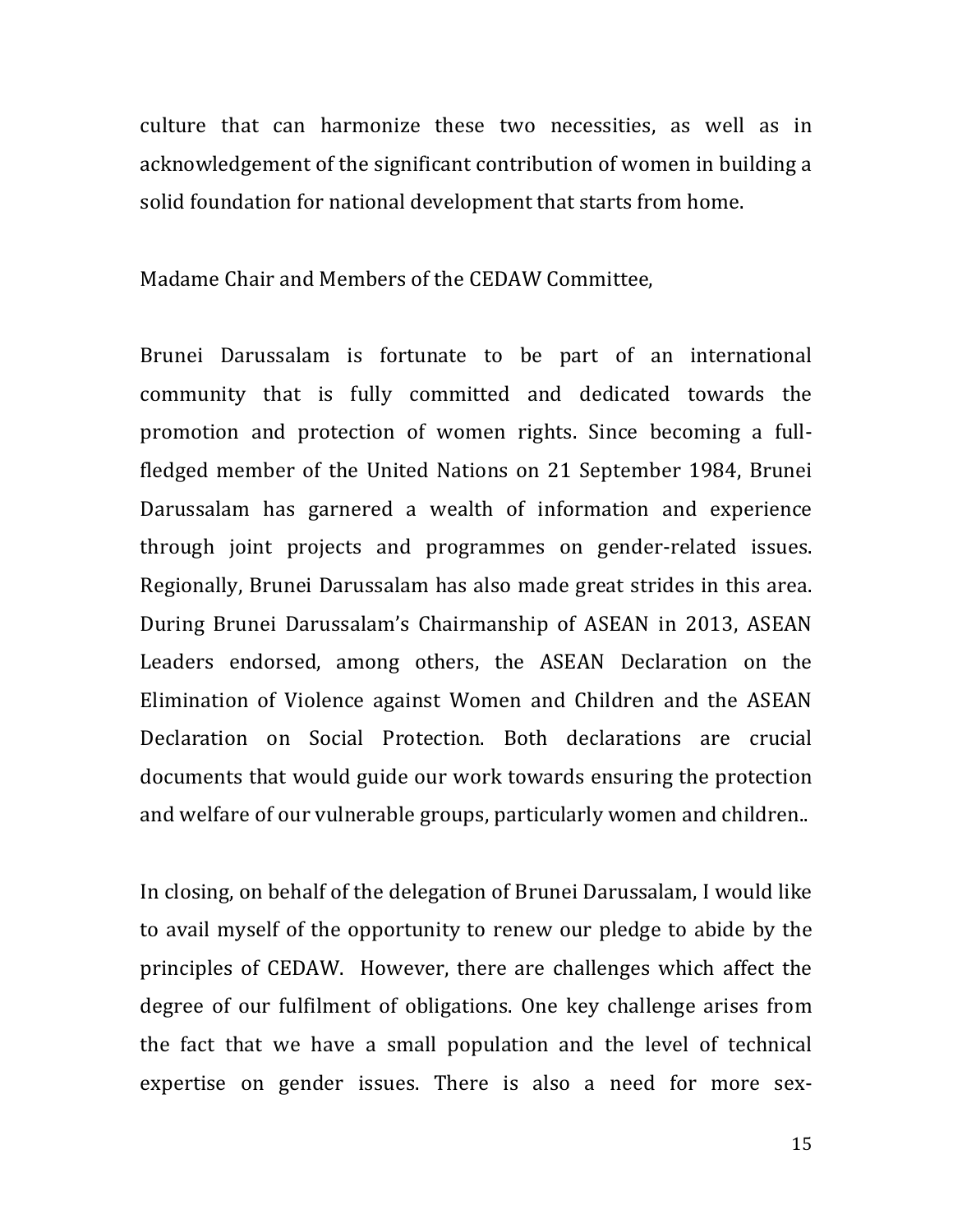culture that can harmonize these two necessities, as well as in acknowledgement of the significant contribution of women in building a solid foundation for national development that starts from home.

Madame Chair and Members of the CEDAW Committee,

Brunei Darussalam is fortunate to be part of an international community that is fully committed and dedicated towards the promotion and protection of women rights. Since becoming a fullfledged member of the United Nations on 21 September 1984, Brunei Darussalam has garnered a wealth of information and experience through joint projects and programmes on gender-related issues. Regionally, Brunei Darussalam has also made great strides in this area. During Brunei Darussalam's Chairmanship of ASEAN in 2013, ASEAN Leaders endorsed, among others, the ASEAN Declaration on the Elimination of Violence against Women and Children and the ASEAN Declaration on Social Protection. Both declarations are crucial documents that would guide our work towards ensuring the protection and welfare of our vulnerable groups, particularly women and children...

In closing, on behalf of the delegation of Brunei Darussalam, I would like to avail myself of the opportunity to renew our pledge to abide by the principles of CEDAW. However, there are challenges which affect the degree of our fulfilment of obligations. One key challenge arises from the fact that we have a small population and the level of technical expertise on gender issues. There is also a need for more sex-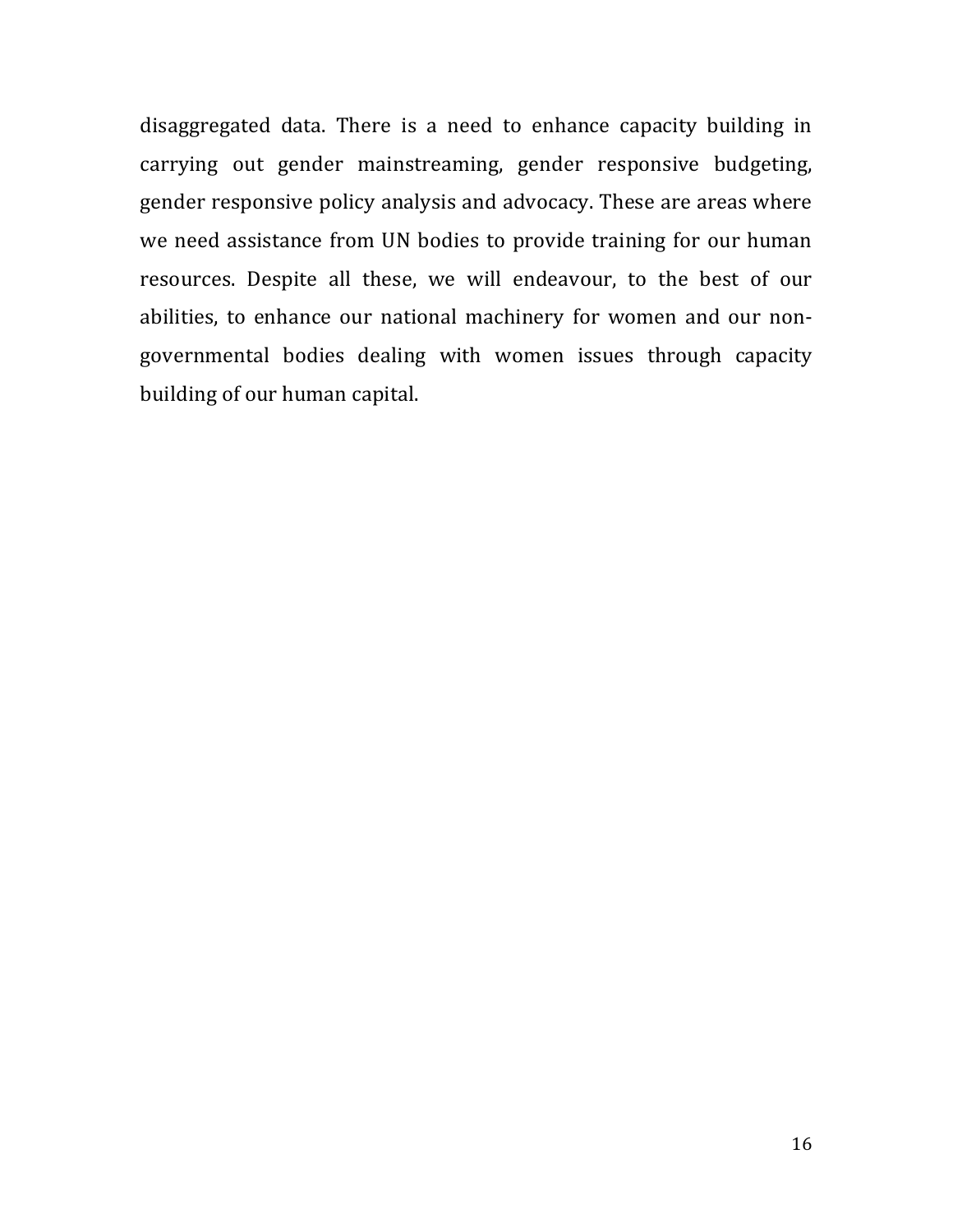disaggregated data. There is a need to enhance capacity building in carrying out gender mainstreaming, gender responsive budgeting, gender responsive policy analysis and advocacy. These are areas where we need assistance from UN bodies to provide training for our human resources. Despite all these, we will endeavour, to the best of our abilities, to enhance our national machinery for women and our nongovernmental bodies dealing with women issues through capacity building of our human capital.